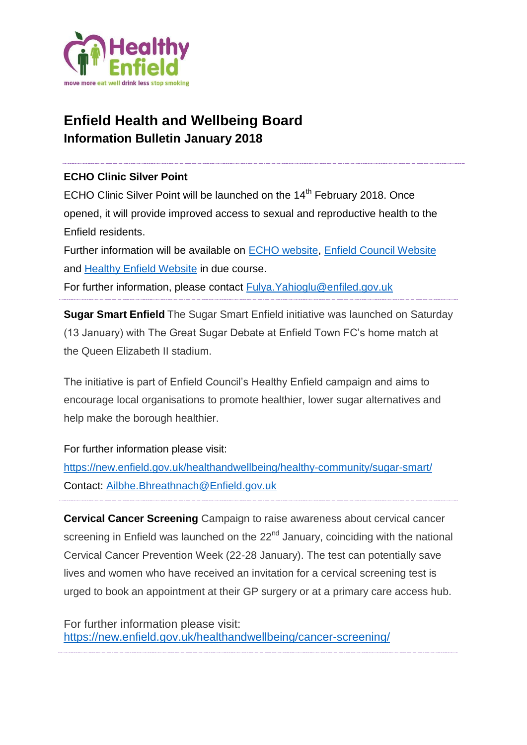

# **Enfield Health and Wellbeing Board Information Bulletin January 2018**

### **ECHO Clinic Silver Point**

ECHO Clinic Silver Point will be launched on the 14<sup>th</sup> February 2018. Once opened, it will provide improved access to sexual and reproductive health to the Enfield residents.

Further information will be available on [ECHO website,](http://www.echoclinics.nhs.uk/) [Enfield Council Website](https://new.enfield.gov.uk/healthandwellbeing/) and [Healthy Enfield Website](https://new.enfield.gov.uk/healthandwellbeing/) in due course.

For further information, please contact [Fulya.Yahioglu@enfiled.gov.uk](mailto:Fulya.Yahioglu@enfiled.gov.uk)

**Sugar Smart Enfield** The Sugar Smart Enfield initiative was launched on Saturday (13 January) with The Great Sugar Debate at Enfield Town FC's home match at the Queen Elizabeth II stadium.

The initiative is part of Enfield Council's Healthy Enfield campaign and aims to encourage local organisations to promote healthier, lower sugar alternatives and help make the borough healthier.

For further information please visit:

<https://new.enfield.gov.uk/healthandwellbeing/healthy-community/sugar-smart/> Contact: [Ailbhe.Bhreathnach@Enfield.gov.uk](mailto:Ailbhe.Bhreathnach@Enfield.gov.uk)

**Cervical Cancer Screening** Campaign to raise awareness about cervical cancer screening in Enfield was launched on the 22<sup>nd</sup> January, coinciding with the national Cervical Cancer Prevention Week (22-28 January). The test can potentially save lives and women who have received an invitation for a cervical screening test is urged to book an appointment at their GP surgery or at a primary care access hub.

For further information please visit: <https://new.enfield.gov.uk/healthandwellbeing/cancer-screening/>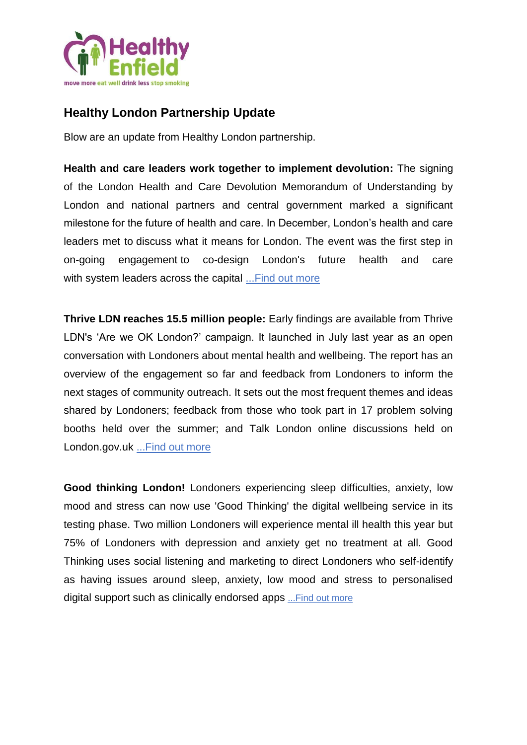

# **Healthy London Partnership Update**

Blow are an update from Healthy London partnership.

**Health and care leaders work together to implement devolution:** The signing of the London Health and Care Devolution Memorandum of Understanding by London and national partners and central government marked a significant milestone for the future of health and care. In December, London's health and care leaders met to discuss what it means for London. The event was the first step in on-going engagement to co-design London's future health and care with system leaders across the capital ... Find out more

**Thrive LDN reaches 15.5 million people:** Early findings are available from Thrive LDN's 'Are we OK London?' campaign. It launched in July last year as an open conversation with Londoners about mental health and wellbeing. The report has an overview of the engagement so far and feedback from Londoners to inform the next stages of community outreach. It sets out the most frequent themes and ideas shared by Londoners; feedback from those who took part in 17 problem solving booths held over the summer; and Talk London online discussions held on London.gov.uk ... Find out more

**Good thinking London!** Londoners experiencing sleep difficulties, anxiety, low mood and stress can now use 'Good Thinking' the digital wellbeing service in its testing phase. Two million Londoners will experience mental ill health this year but 75% of Londoners with depression and anxiety get no treatment at all. Good Thinking uses social listening and marketing to direct Londoners who self-identify as having issues around sleep, anxiety, low mood and stress to personalised digital support such as clinically endorsed apps [...Find out more](https://nhs.us12.list-manage.com/track/click?u=7ccd3f0a3a98b544cd2f254b0&id=8a6e4773ae&e=c49574af1b)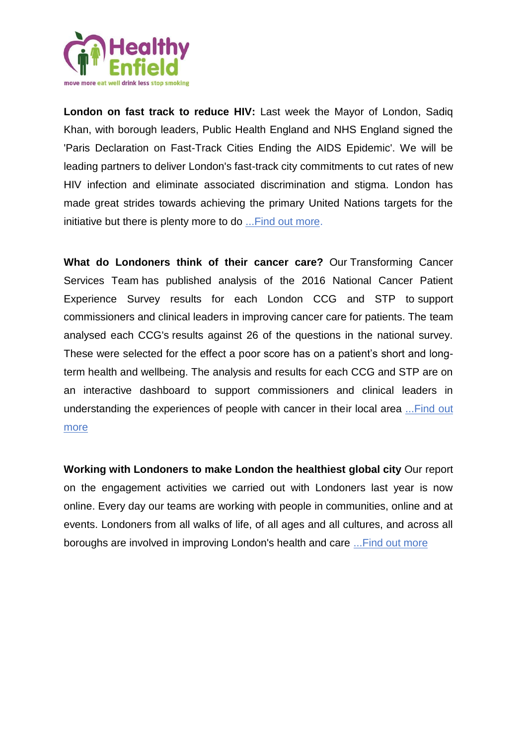

**London on fast track to reduce HIV:** Last week the Mayor of London, Sadiq Khan, with borough leaders, Public Health England and NHS England signed the 'Paris Declaration on Fast-Track Cities Ending the AIDS Epidemic'. We will be leading partners to deliver London's fast-track city commitments to cut rates of new HIV infection and eliminate associated discrimination and stigma. London has made great strides towards achieving the primary United Nations targets for the initiative but there is plenty more to do [...Find out more.](https://nhs.us12.list-manage.com/track/click?u=7ccd3f0a3a98b544cd2f254b0&id=bcc63c28b2&e=c49574af1b)

**What do Londoners think of their cancer care?** Our Transforming Cancer Services Team has published analysis of the 2016 National Cancer Patient Experience Survey results for each London CCG and STP to support commissioners and clinical leaders in improving cancer care for patients. The team analysed each CCG's results against 26 of the questions in the national survey. These were selected for the effect a poor score has on a patient's short and longterm health and wellbeing. The analysis and results for each CCG and STP are on an interactive dashboard to support commissioners and clinical leaders in understanding the experiences of people with cancer in their local area [...Find out](https://nhs.us12.list-manage.com/track/click?u=7ccd3f0a3a98b544cd2f254b0&id=7d5bc272ae&e=c49574af1b)  [more](https://nhs.us12.list-manage.com/track/click?u=7ccd3f0a3a98b544cd2f254b0&id=7d5bc272ae&e=c49574af1b)

**Working with Londoners to make London the healthiest global city** Our report on the engagement activities we carried out with Londoners last year is now online. Every day our teams are working with people in communities, online and at events. Londoners from all walks of life, of all ages and all cultures, and across all boroughs are involved in improving London's health and care [...Find out more](https://nhs.us12.list-manage.com/track/click?u=7ccd3f0a3a98b544cd2f254b0&id=8e0d378e1a&e=c49574af1b)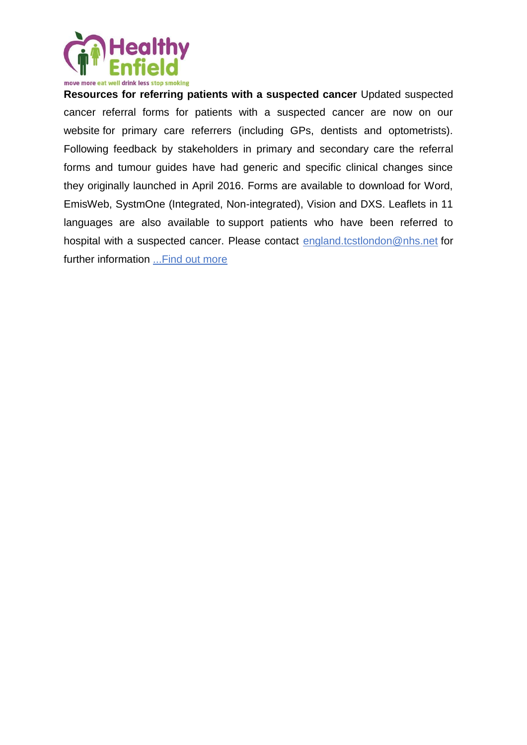

**Resources for referring patients with a suspected cancer** Updated suspected cancer referral forms for patients with a suspected cancer are now on our website for primary care referrers (including GPs, dentists and optometrists). Following feedback by stakeholders in primary and secondary care the referral forms and tumour guides have had generic and specific clinical changes since they originally launched in April 2016. Forms are available to download for Word, EmisWeb, SystmOne (Integrated, Non-integrated), Vision and DXS. Leaflets in 11 languages are also available to support patients who have been referred to hospital with a suspected cancer. Please contact [england.tcstlondon@nhs.net](mailto:england.tcstlondon@nhs.net) for further information [...Find out more](https://nhs.us12.list-manage.com/track/click?u=7ccd3f0a3a98b544cd2f254b0&id=8a2f946f74&e=c49574af1b)